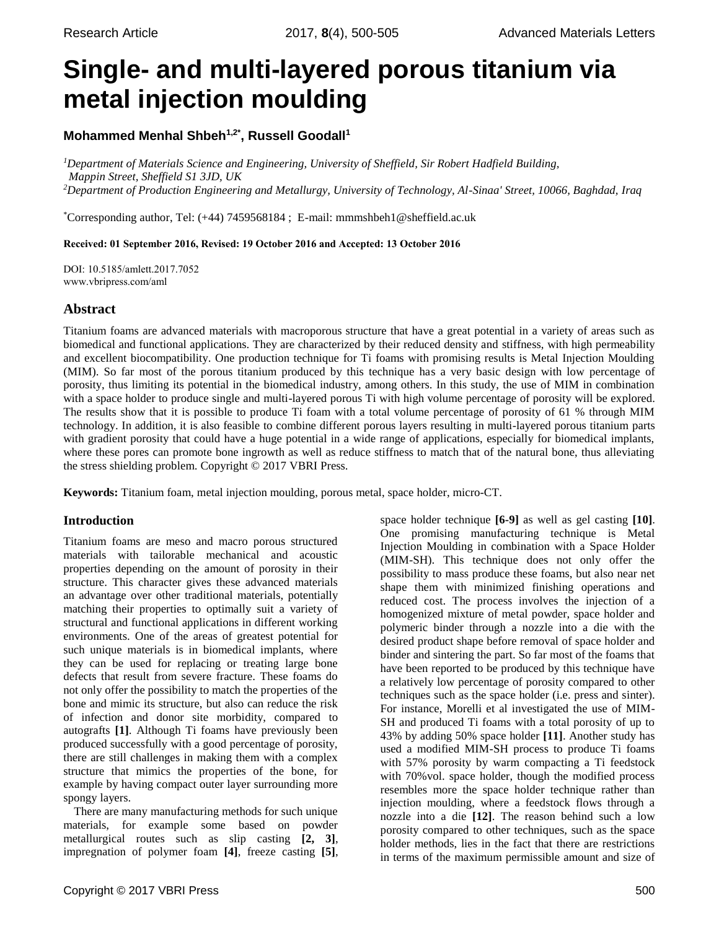# **Single- and multi-layered porous titanium via metal injection moulding**

# **Mohammed Menhal Shbeh1,2\*, Russell Goodall<sup>1</sup>**

*<sup>1</sup>Department of Materials Science and Engineering, University of Sheffield, Sir Robert Hadfield Building, Mappin Street, Sheffield S1 3JD, UK <sup>2</sup>Department of Production Engineering and Metallurgy, University of Technology, Al-Sinaa' Street, 10066, Baghdad, Iraq*

\*Corresponding author, Tel: (+44) 7459568184 ; E-mail: [mmmshbeh1@sheffield.ac.uk](mailto:mmmshbeh1@sheffield.ac.uk)

Received: 01 September 2016, Revised: 19 October 2016 and Accepted: 13 October 2016

DOI: 10.5185/amlett.2017.7052 www.vbripress.com/aml

# **Abstract**

Titanium foams are advanced materials with macroporous structure that have a great potential in a variety of areas such as biomedical and functional applications. They are characterized by their reduced density and stiffness, with high permeability and excellent biocompatibility. One production technique for Ti foams with promising results is Metal Injection Moulding (MIM). So far most of the porous titanium produced by this technique has a very basic design with low percentage of porosity, thus limiting its potential in the biomedical industry, among others. In this study, the use of MIM in combination with a space holder to produce single and multi-layered porous Ti with high volume percentage of porosity will be explored. The results show that it is possible to produce Ti foam with a total volume percentage of porosity of 61 % through MIM technology. In addition, it is also feasible to combine different porous layers resulting in multi-layered porous titanium parts with gradient porosity that could have a huge potential in a wide range of applications, especially for biomedical implants, where these pores can promote bone ingrowth as well as reduce stiffness to match that of the natural bone, thus alleviating the stress shielding problem. Copyright © 2017 VBRI Press.

**Keywords:** Titanium foam, metal injection moulding, porous metal, space holder, micro-CT.

## **Introduction**

Titanium foams are meso and macro porous structured materials with tailorable mechanical and acoustic properties depending on the amount of porosity in their structure. This character gives these advanced materials an advantage over other traditional materials, potentially matching their properties to optimally suit a variety of structural and functional applications in different working environments. One of the areas of greatest potential for such unique materials is in biomedical implants, where they can be used for replacing or treating large bone defects that result from severe fracture. These foams do not only offer the possibility to match the properties of the bone and mimic its structure, but also can reduce the risk of infection and donor site morbidity, compared to autografts **[1]**. Although Ti foams have previously been produced successfully with a good percentage of porosity, there are still challenges in making them with a complex structure that mimics the properties of the bone, for example by having compact outer layer surrounding more spongy layers.

There are many manufacturing methods for such unique materials, for example some based on powder metallurgical routes such as slip casting **[2, 3]**, impregnation of polymer foam **[4]**, freeze casting **[5]**, space holder technique **[6-9]** as well as gel casting **[10]**. One promising manufacturing technique is Metal Injection Moulding in combination with a Space Holder (MIM-SH). This technique does not only offer the possibility to mass produce these foams, but also near net shape them with minimized finishing operations and reduced cost. The process involves the injection of a homogenized mixture of metal powder, space holder and polymeric binder through a nozzle into a die with the desired product shape before removal of space holder and binder and sintering the part. So far most of the foams that have been reported to be produced by this technique have a relatively low percentage of porosity compared to other techniques such as the space holder (i.e. press and sinter). For instance, Morelli et al investigated the use of MIM-SH and produced Ti foams with a total porosity of up to 43% by adding 50% space holder **[11]**. Another study has used a modified MIM-SH process to produce Ti foams with 57% porosity by warm compacting a Ti feedstock with 70%vol. space holder, though the modified process resembles more the space holder technique rather than injection moulding, where a feedstock flows through a nozzle into a die **[12]**. The reason behind such a low porosity compared to other techniques, such as the space holder methods, lies in the fact that there are restrictions in terms of the maximum permissible amount and size of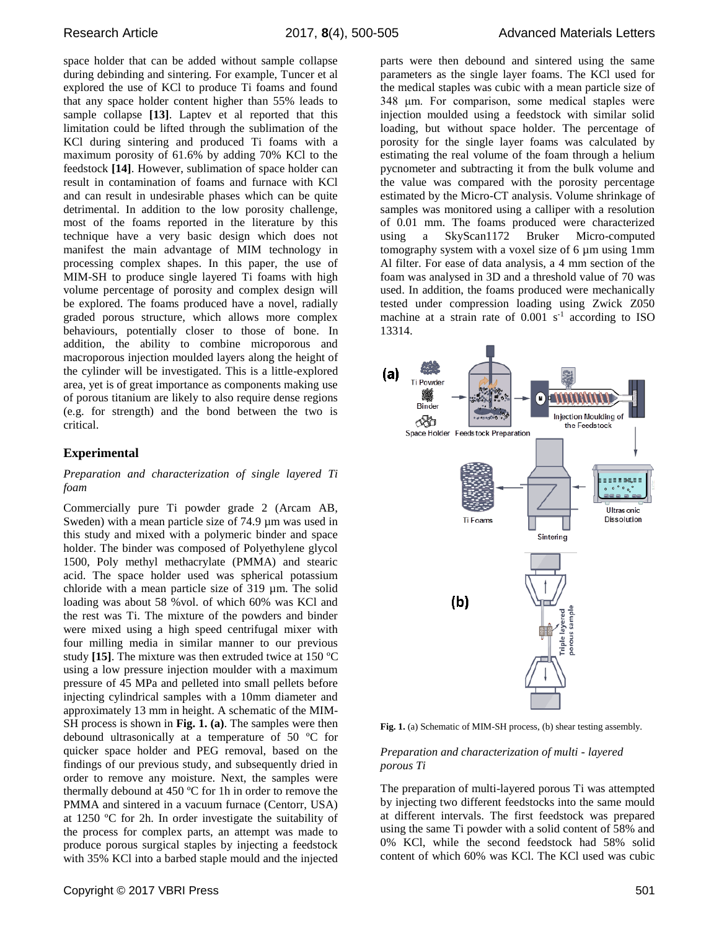space holder that can be added without sample collapse during debinding and sintering. For example, Tuncer et al explored the use of KCl to produce Ti foams and found that any space holder content higher than 55% leads to sample collapse **[13]**. Laptev et al reported that this limitation could be lifted through the sublimation of the KCl during sintering and produced Ti foams with a maximum porosity of 61.6% by adding 70% KCl to the feedstock **[14]**. However, sublimation of space holder can result in contamination of foams and furnace with KCl and can result in undesirable phases which can be quite detrimental. In addition to the low porosity challenge, most of the foams reported in the literature by this technique have a very basic design which does not manifest the main advantage of MIM technology in processing complex shapes. In this paper, the use of MIM-SH to produce single layered Ti foams with high volume percentage of porosity and complex design will be explored. The foams produced have a novel, radially graded porous structure, which allows more complex behaviours, potentially closer to those of bone. In addition, the ability to combine microporous and macroporous injection moulded layers along the height of the cylinder will be investigated. This is a little-explored area, yet is of great importance as components making use of porous titanium are likely to also require dense regions (e.g. for strength) and the bond between the two is critical.

## **Experimental**

#### *Preparation and characterization of single layered Ti foam*

Commercially pure Ti powder grade 2 (Arcam AB, Sweden) with a mean particle size of 74.9  $\mu$ m was used in this study and mixed with a polymeric binder and space holder. The binder was composed of Polyethylene glycol 1500, Poly methyl methacrylate (PMMA) and stearic acid. The space holder used was spherical potassium chloride with a mean particle size of 319 µm. The solid loading was about 58 %vol. of which 60% was KCl and the rest was Ti. The mixture of the powders and binder were mixed using a high speed centrifugal mixer with four milling media in similar manner to our previous study **[15]**. The mixture was then extruded twice at 150 ºC using a low pressure injection moulder with a maximum pressure of 45 MPa and pelleted into small pellets before injecting cylindrical samples with a 10mm diameter and approximately 13 mm in height. A schematic of the MIM-SH process is shown in **Fig. 1. (a)**. The samples were then debound ultrasonically at a temperature of 50 ºC for quicker space holder and PEG removal, based on the findings of our previous study, and subsequently dried in order to remove any moisture. Next, the samples were thermally debound at 450 ºC for 1h in order to remove the PMMA and sintered in a vacuum furnace (Centorr, USA) at 1250 ºC for 2h. In order investigate the suitability of the process for complex parts, an attempt was made to produce porous surgical staples by injecting a feedstock with 35% KCl into a barbed staple mould and the injected parts were then debound and sintered using the same parameters as the single layer foams. The KCl used for the medical staples was cubic with a mean particle size of 348 μm. For comparison, some medical staples were injection moulded using a feedstock with similar solid loading, but without space holder. The percentage of porosity for the single layer foams was calculated by estimating the real volume of the foam through a helium pycnometer and subtracting it from the bulk volume and the value was compared with the porosity percentage estimated by the Micro-CT analysis. Volume shrinkage of samples was monitored using a calliper with a resolution of 0.01 mm. The foams produced were characterized using a SkyScan1172 Bruker Micro-computed tomography system with a voxel size of 6 µm using 1mm Al filter. For ease of data analysis, a 4 mm section of the foam was analysed in 3D and a threshold value of 70 was used. In addition, the foams produced were mechanically tested under compression loading using Zwick Z050 machine at a strain rate of  $0.001$  s<sup>-1</sup> according to ISO 13314.



**Fig. 1.** (a) Schematic of MIM-SH process, (b) shear testing assembly.

#### *Preparation and characterization of multi - layered porous Ti*

The preparation of multi-layered porous Ti was attempted by injecting two different feedstocks into the same mould at different intervals. The first feedstock was prepared using the same Ti powder with a solid content of 58% and 0% KCl, while the second feedstock had 58% solid content of which 60% was KCl. The KCl used was cubic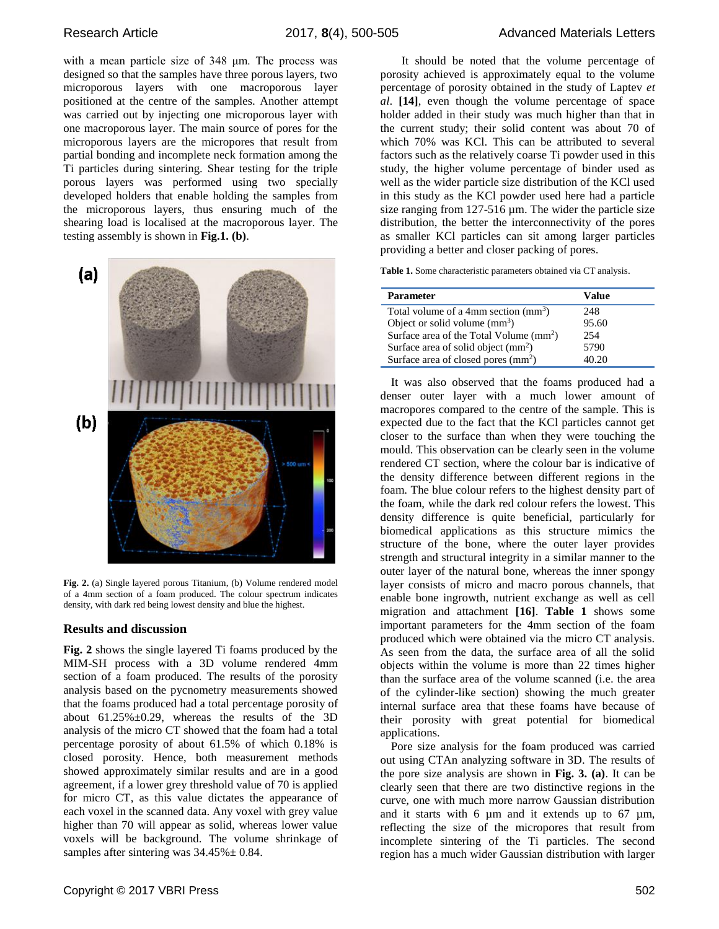with a mean particle size of 348 μm. The process was designed so that the samples have three porous layers, two microporous layers with one macroporous layer positioned at the centre of the samples. Another attempt was carried out by injecting one microporous layer with one macroporous layer. The main source of pores for the microporous layers are the micropores that result from partial bonding and incomplete neck formation among the Ti particles during sintering. Shear testing for the triple porous layers was performed using two specially developed holders that enable holding the samples from the microporous layers, thus ensuring much of the shearing load is localised at the macroporous layer. The testing assembly is shown in **Fig.1. (b)**.



**Fig. 2.** (a) Single layered porous Titanium, (b) Volume rendered model of a 4mm section of a foam produced. The colour spectrum indicates density, with dark red being lowest density and blue the highest.

#### **Results and discussion**

**Fig. 2** shows the single layered Ti foams produced by the MIM-SH process with a 3D volume rendered 4mm section of a foam produced. The results of the porosity analysis based on the pycnometry measurements showed that the foams produced had a total percentage porosity of about  $61.25\% \pm 0.29$ , whereas the results of the 3D analysis of the micro CT showed that the foam had a total percentage porosity of about 61.5% of which 0.18% is closed porosity. Hence, both measurement methods showed approximately similar results and are in a good agreement, if a lower grey threshold value of 70 is applied for micro CT, as this value dictates the appearance of each voxel in the scanned data. Any voxel with grey value higher than 70 will appear as solid, whereas lower value voxels will be background. The volume shrinkage of samples after sintering was  $34.45\% \pm 0.84$ .

It should be noted that the volume percentage of porosity achieved is approximately equal to the volume percentage of porosity obtained in the study of Laptev *et al*. **[14]**, even though the volume percentage of space holder added in their study was much higher than that in the current study; their solid content was about 70 of which 70% was KCl. This can be attributed to several factors such as the relatively coarse Ti powder used in this study, the higher volume percentage of binder used as well as the wider particle size distribution of the KCl used in this study as the KCl powder used here had a particle size ranging from  $127-516 \mu m$ . The wider the particle size distribution, the better the interconnectivity of the pores as smaller KCl particles can sit among larger particles providing a better and closer packing of pores.

**Table 1.** Some characteristic parameters obtained via CT analysis.

| <b>Parameter</b>                                    | Value |
|-----------------------------------------------------|-------|
| Total volume of a 4mm section $(mm3)$               | 248   |
| Object or solid volume $(mm3)$                      | 95.60 |
| Surface area of the Total Volume (mm <sup>2</sup> ) | 254   |
| Surface area of solid object $(mm2)$                | 5790  |
| Surface area of closed pores (mm <sup>2</sup> )     | 40.20 |

It was also observed that the foams produced had a denser outer layer with a much lower amount of macropores compared to the centre of the sample. This is expected due to the fact that the KCl particles cannot get closer to the surface than when they were touching the mould. This observation can be clearly seen in the volume rendered CT section, where the colour bar is indicative of the density difference between different regions in the foam. The blue colour refers to the highest density part of the foam, while the dark red colour refers the lowest. This density difference is quite beneficial, particularly for biomedical applications as this structure mimics the structure of the bone, where the outer layer provides strength and structural integrity in a similar manner to the outer layer of the natural bone, whereas the inner spongy layer consists of micro and macro porous channels, that enable bone ingrowth, nutrient exchange as well as cell migration and attachment **[16]**. **Table 1** shows some important parameters for the 4mm section of the foam produced which were obtained via the micro CT analysis. As seen from the data, the surface area of all the solid objects within the volume is more than 22 times higher than the surface area of the volume scanned (i.e. the area of the cylinder-like section) showing the much greater internal surface area that these foams have because of their porosity with great potential for biomedical applications.

Pore size analysis for the foam produced was carried out using CTAn analyzing software in 3D. The results of the pore size analysis are shown in **Fig. 3. (a)**. It can be clearly seen that there are two distinctive regions in the curve, one with much more narrow Gaussian distribution and it starts with 6  $\mu$ m and it extends up to 67  $\mu$ m, reflecting the size of the micropores that result from incomplete sintering of the Ti particles. The second region has a much wider Gaussian distribution with larger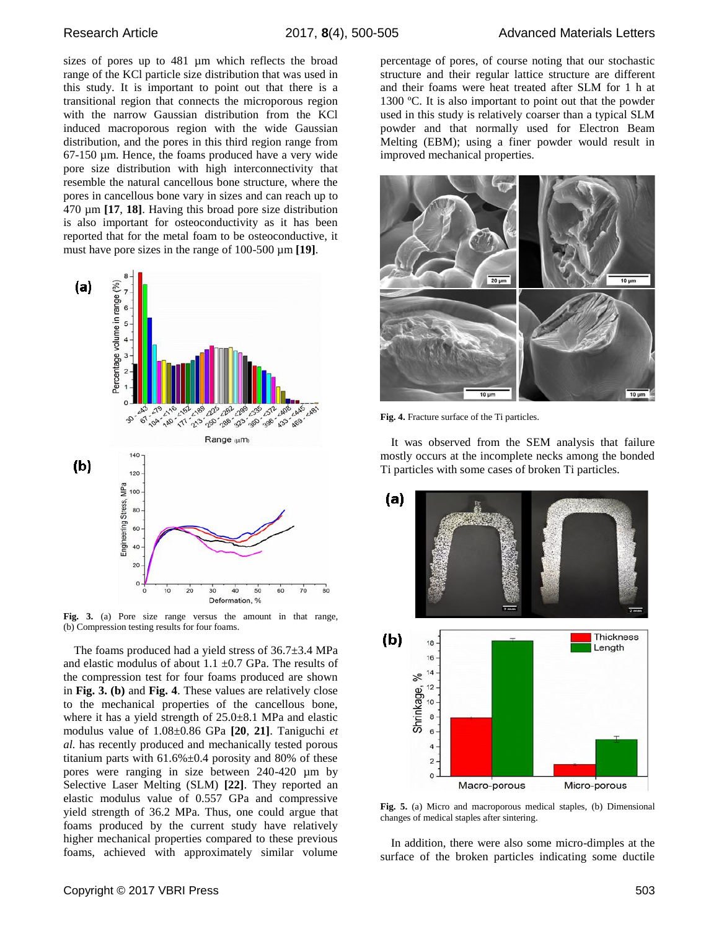sizes of pores up to 481 µm which reflects the broad range of the KCl particle size distribution that was used in this study. It is important to point out that there is a transitional region that connects the microporous region with the narrow Gaussian distribution from the KCl induced macroporous region with the wide Gaussian distribution, and the pores in this third region range from 67-150 µm. Hence, the foams produced have a very wide pore size distribution with high interconnectivity that resemble the natural cancellous bone structure, where the pores in cancellous bone vary in sizes and can reach up to 470 µm **[17**, **18]**. Having this broad pore size distribution is also important for osteoconductivity as it has been reported that for the metal foam to be osteoconductive, it must have pore sizes in the range of 100-500 µm **[19]**.



**Fig. 3.** (a) Pore size range versus the amount in that range, (b) Compression testing results for four foams.

The foams produced had a yield stress of 36.7±3.4 MPa and elastic modulus of about  $1.1 \pm 0.7$  GPa. The results of the compression test for four foams produced are shown in **Fig. 3. (b)** and **Fig. 4**. These values are relatively close to the mechanical properties of the cancellous bone, where it has a yield strength of  $25.0\pm8.1$  MPa and elastic modulus value of 1.08±0.86 GPa **[20**, **21]**. Taniguchi *et al.* has recently produced and mechanically tested porous titanium parts with  $61.6\% \pm 0.4$  porosity and 80% of these pores were ranging in size between 240-420 µm by Selective Laser Melting (SLM) **[22]**. They reported an elastic modulus value of 0.557 GPa and compressive yield strength of 36.2 MPa. Thus, one could argue that foams produced by the current study have relatively higher mechanical properties compared to these previous foams, achieved with approximately similar volume

percentage of pores, of course noting that our stochastic structure and their regular lattice structure are different and their foams were heat treated after SLM for 1 h at 1300 ºC. It is also important to point out that the powder used in this study is relatively coarser than a typical SLM powder and that normally used for Electron Beam Melting (EBM); using a finer powder would result in improved mechanical properties.



**Fig. 4.** Fracture surface of the Ti particles.

It was observed from the SEM analysis that failure mostly occurs at the incomplete necks among the bonded Ti particles with some cases of broken Ti particles.



**Fig. 5.** (a) Micro and macroporous medical staples, (b) Dimensional changes of medical staples after sintering.

In addition, there were also some micro-dimples at the surface of the broken particles indicating some ductile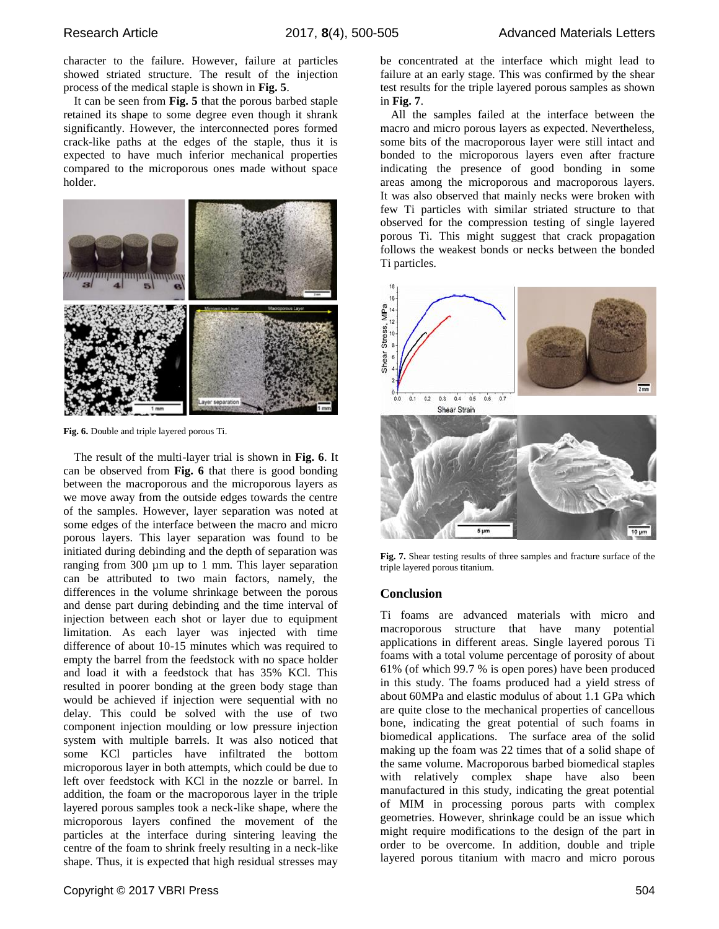character to the failure. However, failure at particles showed striated structure. The result of the injection process of the medical staple is shown in **Fig. 5**.

It can be seen from **Fig. 5** that the porous barbed staple retained its shape to some degree even though it shrank significantly. However, the interconnected pores formed crack-like paths at the edges of the staple, thus it is expected to have much inferior mechanical properties compared to the microporous ones made without space holder.



**Fig. 6.** Double and triple layered porous Ti.

The result of the multi-layer trial is shown in **Fig. 6**. It can be observed from **Fig. 6** that there is good bonding between the macroporous and the microporous layers as we move away from the outside edges towards the centre of the samples. However, layer separation was noted at some edges of the interface between the macro and micro porous layers. This layer separation was found to be initiated during debinding and the depth of separation was ranging from 300 µm up to 1 mm. This layer separation can be attributed to two main factors, namely, the differences in the volume shrinkage between the porous and dense part during debinding and the time interval of injection between each shot or layer due to equipment limitation. As each layer was injected with time difference of about 10-15 minutes which was required to empty the barrel from the feedstock with no space holder and load it with a feedstock that has 35% KCl. This resulted in poorer bonding at the green body stage than would be achieved if injection were sequential with no delay. This could be solved with the use of two component injection moulding or low pressure injection system with multiple barrels. It was also noticed that some KCl particles have infiltrated the bottom microporous layer in both attempts, which could be due to left over feedstock with KCl in the nozzle or barrel. In addition, the foam or the macroporous layer in the triple layered porous samples took a neck-like shape, where the microporous layers confined the movement of the particles at the interface during sintering leaving the centre of the foam to shrink freely resulting in a neck-like shape. Thus, it is expected that high residual stresses may be concentrated at the interface which might lead to failure at an early stage. This was confirmed by the shear test results for the triple layered porous samples as shown in **Fig. 7**.

All the samples failed at the interface between the macro and micro porous layers as expected. Nevertheless, some bits of the macroporous layer were still intact and bonded to the microporous layers even after fracture indicating the presence of good bonding in some areas among the microporous and macroporous layers. It was also observed that mainly necks were broken with few Ti particles with similar striated structure to that observed for the compression testing of single layered porous Ti. This might suggest that crack propagation follows the weakest bonds or necks between the bonded Ti particles.



**Fig. 7.** Shear testing results of three samples and fracture surface of the triple layered porous titanium.

#### **Conclusion**

Ti foams are advanced materials with micro and macroporous structure that have many potential applications in different areas. Single layered porous Ti foams with a total volume percentage of porosity of about 61% (of which 99.7 % is open pores) have been produced in this study. The foams produced had a yield stress of about 60MPa and elastic modulus of about 1.1 GPa which are quite close to the mechanical properties of cancellous bone, indicating the great potential of such foams in biomedical applications. The surface area of the solid making up the foam was 22 times that of a solid shape of the same volume. Macroporous barbed biomedical staples with relatively complex shape have also been manufactured in this study, indicating the great potential of MIM in processing porous parts with complex geometries. However, shrinkage could be an issue which might require modifications to the design of the part in order to be overcome. In addition, double and triple layered porous titanium with macro and micro porous